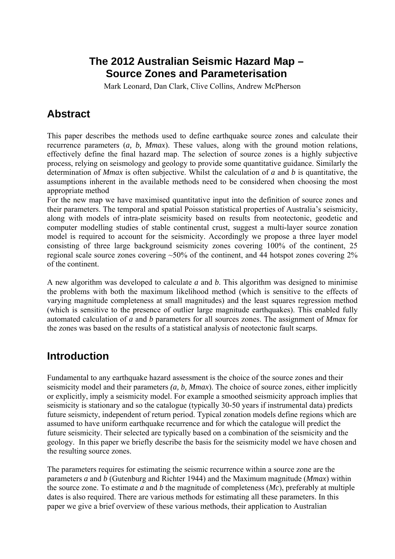## **The 2012 Australian Seismic Hazard Map – Source Zones and Parameterisation**

Mark Leonard, Dan Clark, Clive Collins, Andrew McPherson

# **Abstract**

This paper describes the methods used to define earthquake source zones and calculate their recurrence parameters (*a, b, Mmax*). These values, along with the ground motion relations, effectively define the final hazard map. The selection of source zones is a highly subjective process, relying on seismology and geology to provide some quantitative guidance. Similarly the determination of *Mmax* is often subjective. Whilst the calculation of *a* and *b* is quantitative, the assumptions inherent in the available methods need to be considered when choosing the most appropriate method

For the new map we have maximised quantitative input into the definition of source zones and their parameters. The temporal and spatial Poisson statistical properties of Australia's seismicity, along with models of intra-plate seismicity based on results from neotectonic, geodetic and computer modelling studies of stable continental crust, suggest a multi-layer source zonation model is required to account for the seismicity. Accordingly we propose a three layer model consisting of three large background seismicity zones covering 100% of the continent, 25 regional scale source zones covering ~50% of the continent, and 44 hotspot zones covering 2% of the continent.

A new algorithm was developed to calculate *a* and *b*. This algorithm was designed to minimise the problems with both the maximum likelihood method (which is sensitive to the effects of varying magnitude completeness at small magnitudes) and the least squares regression method (which is sensitive to the presence of outlier large magnitude earthquakes). This enabled fully automated calculation of *a* and *b* parameters for all sources zones. The assignment of *Mmax* for the zones was based on the results of a statistical analysis of neotectonic fault scarps.

# **Introduction**

Fundamental to any earthquake hazard assessment is the choice of the source zones and their seismicity model and their parameters *(a, b, Mmax*). The choice of source zones, either implicitly or explicitly, imply a seismicity model. For example a smoothed seismicity approach implies that seismicity is stationary and so the catalogue (typically 30-50 years if instrumental data) predicts future seismicty, independent of return period. Typical zonation models define regions which are assumed to have uniform earthquake recurrence and for which the catalogue will predict the future seismicity. Their selected are typically based on a combination of the seismicity and the geology. In this paper we briefly describe the basis for the seismicity model we have chosen and the resulting source zones.

The parameters requires for estimating the seismic recurrence within a source zone are the parameters *a* and *b* (Gutenburg and Richter 1944) and the Maximum magnitude (*Mmax*) within the source zone. To estimate *a* and *b* the magnitude of completeness (*Mc*), preferably at multiple dates is also required. There are various methods for estimating all these parameters. In this paper we give a brief overview of these various methods, their application to Australian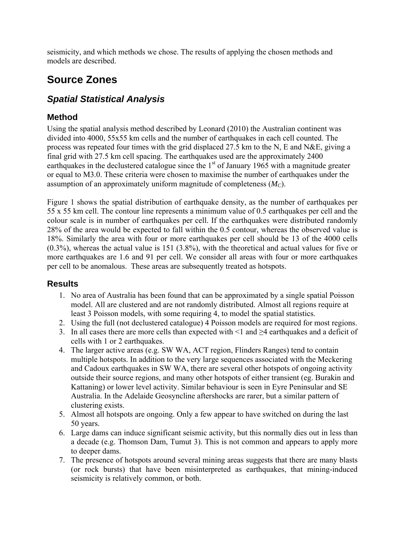seismicity, and which methods we chose. The results of applying the chosen methods and models are described.

# **Source Zones**

### *Spatial Statistical Analysis*

#### **Method**

Using the spatial analysis method described by Leonard (2010) the Australian continent was divided into 4000, 55x55 km cells and the number of earthquakes in each cell counted. The process was repeated four times with the grid displaced 27.5 km to the N, E and N&E, giving a final grid with 27.5 km cell spacing. The earthquakes used are the approximately 2400 earthquakes in the declustered catalogue since the  $1<sup>st</sup>$  of January 1965 with a magnitude greater or equal to M3.0. These criteria were chosen to maximise the number of earthquakes under the assumption of an approximately uniform magnitude of completeness (*MC*).

Figure 1 shows the spatial distribution of earthquake density, as the number of earthquakes per 55 x 55 km cell. The contour line represents a minimum value of 0.5 earthquakes per cell and the colour scale is in number of earthquakes per cell. If the earthquakes were distributed randomly 28% of the area would be expected to fall within the 0.5 contour, whereas the observed value is 18%. Similarly the area with four or more earthquakes per cell should be 13 of the 4000 cells (0.3%), whereas the actual value is 151 (3.8%), with the theoretical and actual values for five or more earthquakes are 1.6 and 91 per cell. We consider all areas with four or more earthquakes per cell to be anomalous. These areas are subsequently treated as hotspots.

#### **Results**

- 1. No area of Australia has been found that can be approximated by a single spatial Poisson model. All are clustered and are not randomly distributed. Almost all regions require at least 3 Poisson models, with some requiring 4, to model the spatial statistics.
- 2. Using the full (not declustered catalogue) 4 Poisson models are required for most regions.
- 3. In all cases there are more cells than expected with <1 and ≥4 earthquakes and a deficit of cells with 1 or 2 earthquakes.
- 4. The larger active areas (e.g. SW WA, ACT region, Flinders Ranges) tend to contain multiple hotspots. In addition to the very large sequences associated with the Meckering and Cadoux earthquakes in SW WA, there are several other hotspots of ongoing activity outside their source regions, and many other hotspots of either transient (eg. Burakin and Kattaning) or lower level activity. Similar behaviour is seen in Eyre Peninsular and SE Australia. In the Adelaide Geosyncline aftershocks are rarer, but a similar pattern of clustering exists.
- 5. Almost all hotspots are ongoing. Only a few appear to have switched on during the last 50 years.
- 6. Large dams can induce significant seismic activity, but this normally dies out in less than a decade (e.g. Thomson Dam, Tumut 3). This is not common and appears to apply more to deeper dams.
- 7. The presence of hotspots around several mining areas suggests that there are many blasts (or rock bursts) that have been misinterpreted as earthquakes, that mining-induced seismicity is relatively common, or both.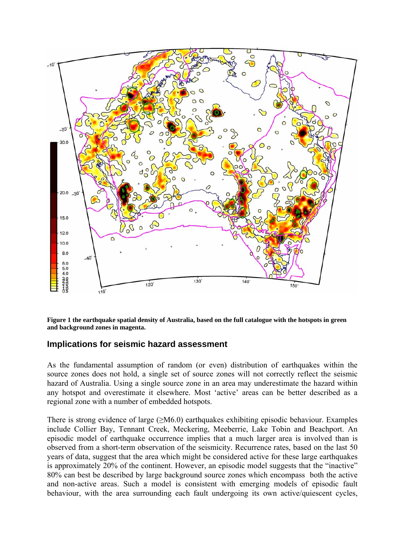

**Figure 1 the earthquake spatial density of Australia, based on the full catalogue with the hotspots in green and background zones in magenta.** 

#### **Implications for seismic hazard assessment**

As the fundamental assumption of random (or even) distribution of earthquakes within the source zones does not hold, a single set of source zones will not correctly reflect the seismic hazard of Australia. Using a single source zone in an area may underestimate the hazard within any hotspot and overestimate it elsewhere. Most 'active' areas can be better described as a regional zone with a number of embedded hotspots.

There is strong evidence of large (>M6.0) earthquakes exhibiting episodic behaviour. Examples include Collier Bay, Tennant Creek, Meckering, Meeberrie, Lake Tobin and Beachport. An episodic model of earthquake occurrence implies that a much larger area is involved than is observed from a short-term observation of the seismicity. Recurrence rates, based on the last 50 years of data, suggest that the area which might be considered active for these large earthquakes is approximately 20% of the continent. However, an episodic model suggests that the "inactive" 80% can best be described by large background source zones which encompass both the active and non-active areas. Such a model is consistent with emerging models of episodic fault behaviour, with the area surrounding each fault undergoing its own active/quiescent cycles,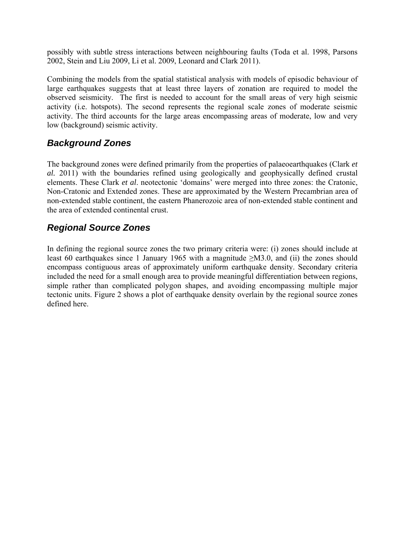possibly with subtle stress interactions between neighbouring faults (Toda et al. 1998, Parsons 2002, Stein and Liu 2009, Li et al. 2009, Leonard and Clark 2011).

Combining the models from the spatial statistical analysis with models of episodic behaviour of large earthquakes suggests that at least three layers of zonation are required to model the observed seismicity. The first is needed to account for the small areas of very high seismic activity (i.e. hotspots). The second represents the regional scale zones of moderate seismic activity. The third accounts for the large areas encompassing areas of moderate, low and very low (background) seismic activity.

### *Background Zones*

The background zones were defined primarily from the properties of palaeoearthquakes (Clark *et al.* 2011) with the boundaries refined using geologically and geophysically defined crustal elements. These Clark *et al*. neotectonic 'domains' were merged into three zones: the Cratonic, Non-Cratonic and Extended zones. These are approximated by the Western Precambrian area of non-extended stable continent, the eastern Phanerozoic area of non-extended stable continent and the area of extended continental crust.

### *Regional Source Zones*

In defining the regional source zones the two primary criteria were: (i) zones should include at least 60 earthquakes since 1 January 1965 with a magnitude  $\geq M3.0$ , and (ii) the zones should encompass contiguous areas of approximately uniform earthquake density. Secondary criteria included the need for a small enough area to provide meaningful differentiation between regions, simple rather than complicated polygon shapes, and avoiding encompassing multiple major tectonic units. Figure 2 shows a plot of earthquake density overlain by the regional source zones defined here.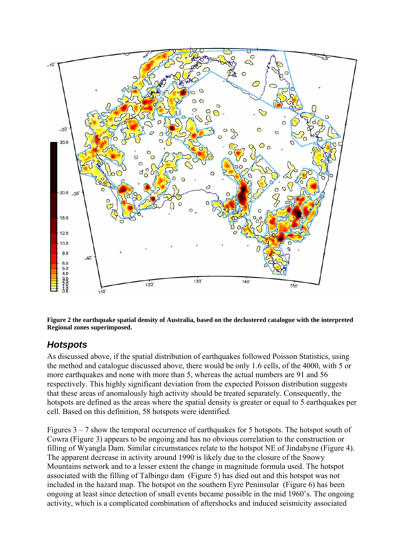

**Figure 2 the earthquake spatial density of Australia, based on the declustered catalogue with the interpreted Regional zones superimposed.** 

### *Hotspots*

As discussed above, if the spatial distribution of earthquakes followed Poisson Statistics, using the method and catalogue discussed above, there would be only 1.6 cells, of the 4000, with 5 or more earthquakes and none with more than 5, whereas the actual numbers are 91 and 56 respectively. This highly significant deviation from the expected Poisson distribution suggests that these areas of anomalously high activity should be treated separately. Consequently, the hotspots are defined as the areas where the spatial density is greater or equal to 5 earthquakes per cell. Based on this definition, 58 hotspots were identified.

Figures  $3 - 7$  show the temporal occurrence of earthquakes for 5 hotspots. The hotspot south of Cowra (Figure 3) appears to be ongoing and has no obvious correlation to the construction or filling of Wyangla Dam. Similar circumstances relate to the hotspot NE of Jindabyne (Figure 4). The apparent decrease in activity around 1990 is likely due to the closure of the Snowy Mountains network and to a lesser extent the change in magnitude formula used. The hotspot associated with the filling of Talbingo dam (Figure 5) has died out and this hotspot was not included in the hazard map. The hotspot on the southern Eyre Peninsular (Figure 6) has been ongoing at least since detection of small events became possible in the mid 1960's. The ongoing activity, which is a complicated combination of aftershocks and induced seismicity associated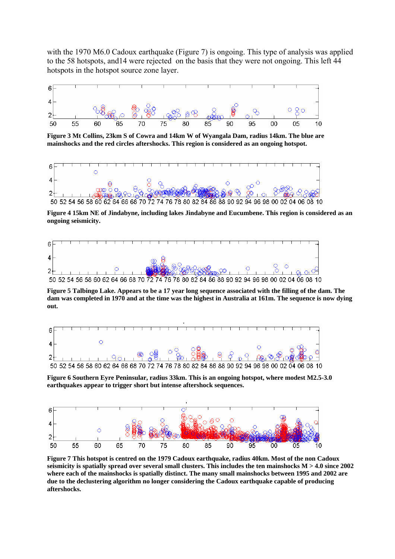with the 1970 M6.0 Cadoux earthquake (Figure 7) is ongoing. This type of analysis was applied to the 58 hotspots, and14 were rejected on the basis that they were not ongoing. This left 44 hotspots in the hotspot source zone layer.



**Figure 3 Mt Collins, 23km S of Cowra and 14km W of Wyangala Dam, radius 14km. The blue are mainshocks and the red circles aftershocks. This region is considered as an ongoing hotspot.** 



**Figure 4 15km NE of Jindabyne, including lakes Jindabyne and Eucumbene. This region is considered as an ongoing seismicity.** 



**Figure 5 Talbingo Lake. Appears to be a 17 year long sequence associated with the filling of the dam. The dam was completed in 1970 and at the time was the highest in Australia at 161m. The sequence is now dying out.**



**Figure 6 Southern Eyre Peninsular, radius 33km. This is an ongoing hotspot, where modest M2.5-3.0 earthquakes appear to trigger short but intense aftershock sequences.** 



**Figure 7 This hotspot is centred on the 1979 Cadoux earthquake, radius 40km. Most of the non Cadoux seismicity is spatially spread over several small clusters. This includes the ten mainshocks M > 4.0 since 2002 where each of the mainshocks is spatially distinct. The many small mainshocks between 1995 and 2002 are due to the declustering algorithm no longer considering the Cadoux earthquake capable of producing aftershocks.**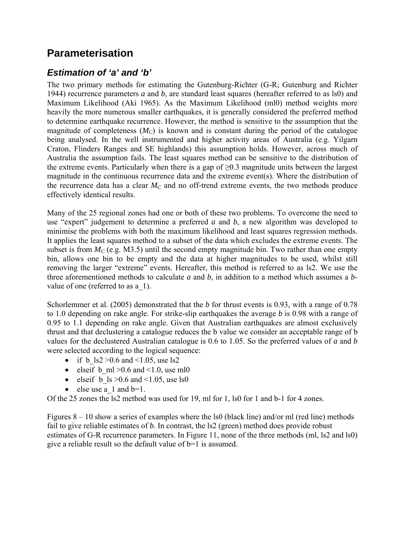# **Parameterisation**

### *Estimation of 'a' and 'b'*

The two primary methods for estimating the Gutenburg-Richter (G-R; Gutenburg and Richter 1944) recurrence parameters *a* and *b*, are standard least squares (hereafter referred to as ls0) and Maximum Likelihood (Aki 1965). As the Maximum Likelihood (ml0) method weights more heavily the more numerous smaller earthquakes, it is generally considered the preferred method to determine earthquake recurrence. However, the method is sensitive to the assumption that the magnitude of completeness  $(M_C)$  is known and is constant during the period of the catalogue being analysed. In the well instrumented and higher activity areas of Australia (e.g. Yilgarn Craton, Flinders Ranges and SE highlands) this assumption holds. However, across much of Australia the assumption fails. The least squares method can be sensitive to the distribution of the extreme events. Particularly when there is a gap of  $\geq 0.3$  magnitude units between the largest magnitude in the continuous recurrence data and the extreme event(s). Where the distribution of the recurrence data has a clear  $M<sub>C</sub>$  and no off-trend extreme events, the two methods produce effectively identical results.

Many of the 25 regional zones had one or both of these two problems. To overcome the need to use "expert" judgement to determine a preferred *a* and *b*, a new algorithm was developed to minimise the problems with both the maximum likelihood and least squares regression methods. It applies the least squares method to a subset of the data which excludes the extreme events. The subset is from  $M<sub>C</sub>$  (e.g. M3.5) until the second empty magnitude bin. Two rather than one empty bin, allows one bin to be empty and the data at higher magnitudes to be used, whilst still removing the larger "extreme" events. Hereafter, this method is referred to as ls2. We use the three aforementioned methods to calculate *a* and *b*, in addition to a method which assumes a *b*value of one (referred to as a\_1).

Schorlemmer et al. (2005) demonstrated that the *b* for thrust events is 0.93, with a range of 0.78 to 1.0 depending on rake angle. For strike-slip earthquakes the average *b* is 0.98 with a range of 0.95 to 1.1 depending on rake angle. Given that Australian earthquakes are almost exclusively thrust and that declustering a catalogue reduces the b value we consider an acceptable range of b values for the declustered Australian catalogue is 0.6 to 1.05. So the preferred values of *a* and *b* were selected according to the logical sequence:

- if b  $\text{ls2} > 0.6$  and <1.05, use ls2
- elseif b ml >0.6 and <1.0, use ml0
- elseif b  $\text{ls} > 0.6$  and  $\text{1.05}$ , use ls0
- else use a  $1$  and  $b=1$ .

Of the 25 zones the ls2 method was used for 19, ml for 1, ls0 for 1 and b-1 for 4 zones.

Figures  $8 - 10$  show a series of examples where the ls0 (black line) and/or ml (red line) methods fail to give reliable estimates of *b*. In contrast, the ls2 (green) method does provide robust estimates of G-R recurrence parameters. In Figure 11, none of the three methods (ml, ls2 and ls0) give a reliable result so the default value of b=1 is assumed.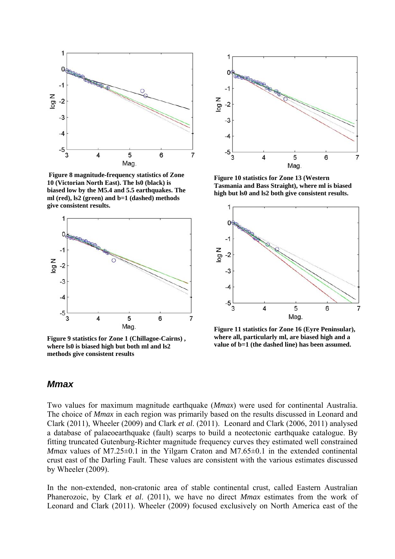

 **Figure 8 magnitude-frequency statistics of Zone 10 (Victorian North East). The ls0 (black) is biased low by the M5.4 and 5.5 earthquakes. The ml (red), ls2 (green) and b=1 (dashed) methods give consistent results.** 



**Figure 9 statistics for Zone 1 (Chillagoe-Cairns) , where ls0 is biased high but both ml and ls2 methods give consistent results** 



**Figure 10 statistics for Zone 13 (Western Tasmania and Bass Straight), where ml is biased high but ls0 and ls2 both give consistent results.** 



**Figure 11 statistics for Zone 16 (Eyre Peninsular), where all, particularly ml, are biased high and a value of b=1 (the dashed line) has been assumed.** 

#### *Mmax*

Two values for maximum magnitude earthquake (*Mmax*) were used for continental Australia. The choice of *Mmax* in each region was primarily based on the results discussed in Leonard and Clark (2011), Wheeler (2009) and Clark *et al*. (2011). Leonard and Clark (2006, 2011) analysed a database of palaeoearthquake (fault) scarps to build a neotectonic earthquake catalogue. By fitting truncated Gutenburg-Richter magnitude frequency curves they estimated well constrained *Mmax* values of M7.25 $\pm$ 0.1 in the Yilgarn Craton and M7.65 $\pm$ 0.1 in the extended continental crust east of the Darling Fault. These values are consistent with the various estimates discussed by Wheeler (2009).

In the non-extended, non-cratonic area of stable continental crust, called Eastern Australian Phanerozoic, by Clark *et al*. (2011), we have no direct *Mmax* estimates from the work of Leonard and Clark (2011). Wheeler (2009) focused exclusively on North America east of the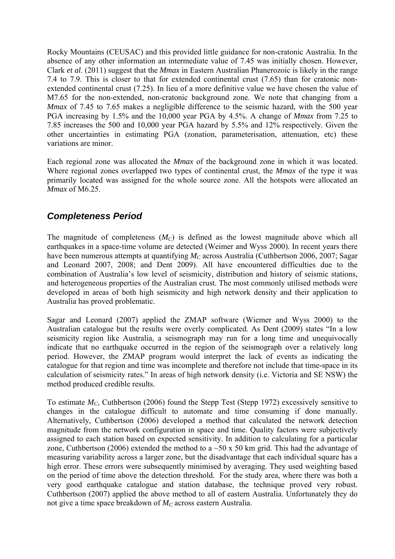Rocky Mountains (CEUSAC) and this provided little guidance for non-cratonic Australia. In the absence of any other information an intermediate value of 7.45 was initially chosen. However, Clark *et al*. (2011) suggest that the *Mmax* in Eastern Australian Phanerozoic is likely in the range 7.4 to 7.9. This is closer to that for extended continental crust (7.65) than for cratonic nonextended continental crust (7.25). In lieu of a more definitive value we have chosen the value of M7.65 for the non-extended, non-cratonic background zone. We note that changing from a *Mmax* of 7.45 to 7.65 makes a negligible difference to the seismic hazard, with the 500 year PGA increasing by 1.5% and the 10,000 year PGA by 4.5%. A change of *Mmax* from 7.25 to 7.85 increases the 500 and 10,000 year PGA hazard by 5.5% and 12% respectively. Given the other uncertainties in estimating PGA (zonation, parameterisation, attenuation, etc) these variations are minor.

Each regional zone was allocated the *Mmax* of the background zone in which it was located. Where regional zones overlapped two types of continental crust, the *Mmax* of the type it was primarily located was assigned for the whole source zone. All the hotspots were allocated an *Mmax* of M6.25

### *Completeness Period*

The magnitude of completeness  $(M<sub>C</sub>)$  is defined as the lowest magnitude above which all earthquakes in a space-time volume are detected (Weimer and Wyss 2000). In recent years there have been numerous attempts at quantifying *M<sub>C</sub>* across Australia (Cuthbertson 2006, 2007; Sagar and Leonard 2007, 2008; and Dent 2009). All have encountered difficulties due to the combination of Australia's low level of seismicity, distribution and history of seismic stations, and heterogeneous properties of the Australian crust. The most commonly utilised methods were developed in areas of both high seismicity and high network density and their application to Australia has proved problematic.

Sagar and Leonard (2007) applied the ZMAP software (Wiemer and Wyss 2000) to the Australian catalogue but the results were overly complicated. As Dent (2009) states "In a low seismicity region like Australia, a seismograph may run for a long time and unequivocally indicate that no earthquake occurred in the region of the seismograph over a relatively long period. However, the ZMAP program would interpret the lack of events as indicating the catalogue for that region and time was incomplete and therefore not include that time-space in its calculation of seismicity rates." In areas of high network density (i.e. Victoria and SE NSW) the method produced credible results.

To estimate *MC*, Cuthbertson (2006) found the Stepp Test (Stepp 1972) excessively sensitive to changes in the catalogue difficult to automate and time consuming if done manually. Alternatively, Cuthbertson (2006) developed a method that calculated the network detection magnitude from the network configuration in space and time. Quality factors were subjectively assigned to each station based on expected sensitivity. In addition to calculating for a particular zone, Cuthbertson (2006) extended the method to a  $\sim$  50 x 50 km grid. This had the advantage of measuring variability across a larger zone, but the disadvantage that each individual square has a high error. These errors were subsequently minimised by averaging. They used weighting based on the period of time above the detection threshold. For the study area, where there was both a very good earthquake catalogue and station database, the technique proved very robust. Cuthbertson (2007) applied the above method to all of eastern Australia. Unfortunately they do not give a time space breakdown of  $M_C$  across eastern Australia.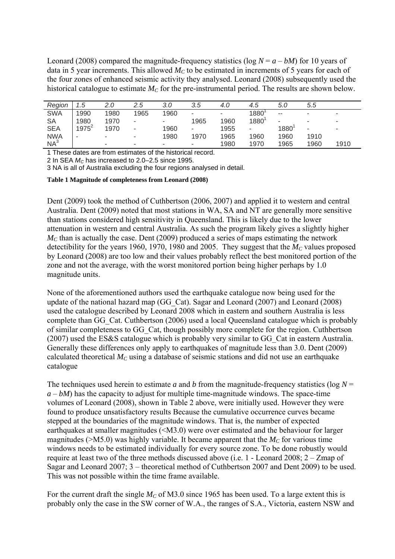Leonard (2008) compared the magnitude-frequency statistics ( $log N = a - bM$ ) for 10 years of data in 5 year increments. This allowed  $M<sub>C</sub>$  to be estimated in increments of 5 years for each of the four zones of enhanced seismic activity they analysed. Leonard (2008) subsequently used the historical catalogue to estimate  $M_C$  for the pre-instrumental period. The results are shown below.

| Region          | 1.5      |      | 2.5  | 3.0  | 3.5  | 4.0  | 4.5                      | 5.0           | 5.5                      |      |
|-----------------|----------|------|------|------|------|------|--------------------------|---------------|--------------------------|------|
| <b>SWA</b>      | 1990     | 1980 | 1965 | 1960 | -    | ۰    | 1880                     | $\sim$ $\sim$ |                          |      |
| <b>SA</b>       | 1980     | 1970 | -    |      | 1965 | 1960 | $1880^{1}$               |               |                          |      |
| <b>SEA</b>      | $1975^2$ | 1970 |      | 1960 | -    | 1955 | $\overline{\phantom{a}}$ | 1880          | $\overline{\phantom{a}}$ |      |
| <b>NWA</b>      | -        | ۰    |      | 1980 | 1970 | 1965 | 1960                     | 1960          | 1910                     |      |
| NA <sup>3</sup> |          | -    |      |      | -    | 1980 | 1970                     | 1965          | 1960                     | 1910 |

1 These dates are from estimates of the historical record.

2 In SEA *M<sub>c</sub>* has increased to 2.0–2.5 since 1995.

3 NA is all of Australia excluding the four regions analysed in detail.

**Table 1 Magnitude of completeness from Leonard (2008)** 

Dent (2009) took the method of Cuthbertson (2006, 2007) and applied it to western and central Australia. Dent (2009) noted that most stations in WA, SA and NT are generally more sensitive than stations considered high sensitivity in Queensland. This is likely due to the lower attenuation in western and central Australia. As such the program likely gives a slightly higher  $M<sub>C</sub>$  than is actually the case. Dent (2009) produced a series of maps estimating the network detectibility for the years 1960, 1970, 1980 and 2005. They suggest that the  $M_C$  values proposed by Leonard (2008) are too low and their values probably reflect the best monitored portion of the zone and not the average, with the worst monitored portion being higher perhaps by 1.0 magnitude units.

None of the aforementioned authors used the earthquake catalogue now being used for the update of the national hazard map (GG\_Cat). Sagar and Leonard (2007) and Leonard (2008) used the catalogue described by Leonard 2008 which in eastern and southern Australia is less complete than GG\_Cat. Cuthbertson (2006) used a local Queensland catalogue which is probably of similar completeness to GG\_Cat, though possibly more complete for the region. Cuthbertson (2007) used the ES&S catalogue which is probably very similar to GG\_Cat in eastern Australia. Generally these differences only apply to earthquakes of magnitude less than 3.0. Dent (2009) calculated theoretical  $M<sub>C</sub>$  using a database of seismic stations and did not use an earthquake catalogue

The techniques used herein to estimate *a* and *b* from the magnitude-frequency statistics (log  $N =$  $a - bM$ ) has the capacity to adjust for multiple time-magnitude windows. The space-time volumes of Leonard (2008), shown in Table 2 above, were initially used. However they were found to produce unsatisfactory results Because the cumulative occurrence curves became stepped at the boundaries of the magnitude windows. That is, the number of expected earthquakes at smaller magnitudes (<M3.0) were over estimated and the behaviour for larger magnitudes ( $>M5.0$ ) was highly variable. It became apparent that the  $M_C$  for various time windows needs to be estimated individually for every source zone. To be done robustly would require at least two of the three methods discussed above (i.e. 1 - Leonard 2008; 2 – Zmap of Sagar and Leonard 2007; 3 – theoretical method of Cuthbertson 2007 and Dent 2009) to be used. This was not possible within the time frame available.

For the current draft the single  $M<sub>C</sub>$  of M3.0 since 1965 has been used. To a large extent this is probably only the case in the SW corner of W.A., the ranges of S.A., Victoria, eastern NSW and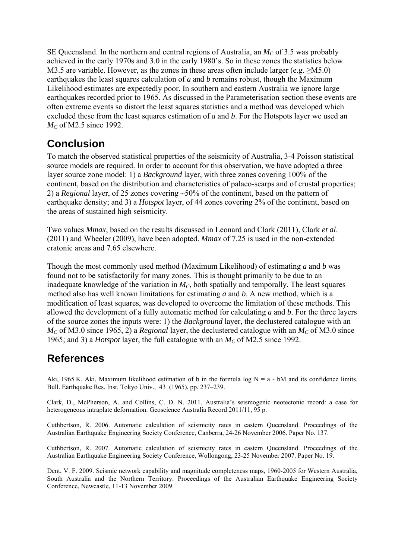SE Queensland. In the northern and central regions of Australia, an  $M<sub>C</sub>$  of 3.5 was probably achieved in the early 1970s and 3.0 in the early 1980's. So in these zones the statistics below M3.5 are variable. However, as the zones in these areas often include larger (e.g. >M5.0) earthquakes the least squares calculation of *a* and *b* remains robust, though the Maximum Likelihood estimates are expectedly poor. In southern and eastern Australia we ignore large earthquakes recorded prior to 1965. As discussed in the Parameterisation section these events are often extreme events so distort the least squares statistics and a method was developed which excluded these from the least squares estimation of *a* and *b*. For the Hotspots layer we used an *M<sub>C</sub>* of M2.5 since 1992.

# **Conclusion**

To match the observed statistical properties of the seismicity of Australia, 3-4 Poisson statistical source models are required. In order to account for this observation, we have adopted a three layer source zone model: 1) a *Background* layer, with three zones covering 100% of the continent, based on the distribution and characteristics of palaeo-scarps and of crustal properties; 2) a *Regional* layer, of 25 zones covering ~50% of the continent, based on the pattern of earthquake density; and 3) a *Hotspot* layer, of 44 zones covering 2% of the continent, based on the areas of sustained high seismicity.

Two values *Mmax*, based on the results discussed in Leonard and Clark (2011), Clark *et al*. (2011) and Wheeler (2009), have been adopted. *Mmax* of 7.25 is used in the non-extended cratonic areas and 7.65 elsewhere.

Though the most commonly used method (Maximum Likelihood) of estimating *a* and *b* was found not to be satisfactorily for many zones. This is thought primarily to be due to an inadequate knowledge of the variation in  $M<sub>C</sub>$ , both spatially and temporally. The least squares method also has well known limitations for estimating *a* and *b*. A new method, which is a modification of least squares, was developed to overcome the limitation of these methods. This allowed the development of a fully automatic method for calculating *a* and *b*. For the three layers of the source zones the inputs were: 1) the *Background* layer, the declustered catalogue with an  $M<sub>C</sub>$  of M3.0 since 1965, 2) a *Regional* layer, the declustered catalogue with an  $M<sub>C</sub>$  of M3.0 since 1965; and 3) a *Hotspot* layer, the full catalogue with an  $M<sub>C</sub>$  of M2.5 since 1992.

# **References**

Aki, 1965 K. Aki, Maximum likelihood estimation of b in the formula log  $N = a - bM$  and its confidence limits. Bull. Earthquake Res. Inst. Tokyo Univ., 43 (1965), pp. 237–239.

Clark, D., McPherson, A. and Collins, C. D. N. 2011. Australia's seismogenic neotectonic record: a case for heterogeneous intraplate deformation. Geoscience Australia Record 2011/11, 95 p.

Cuthbertson, R. 2006. Automatic calculation of seismicity rates in eastern Queensland. Proceedings of the Australian Earthquake Engineering Society Conference, Canberra, 24-26 November 2006. Paper No. 137.

Cuthbertson, R. 2007. Automatic calculation of seismicity rates in eastern Queensland. Proceedings of the Australian Earthquake Engineering Society Conference, Wollongong, 23-25 November 2007. Paper No. 19.

Dent, V. F. 2009. Seismic network capability and magnitude completeness maps, 1960-2005 for Western Australia, South Australia and the Northern Territory. Proceedings of the Australian Earthquake Engineering Society Conference, Newcastle, 11-13 November 2009.